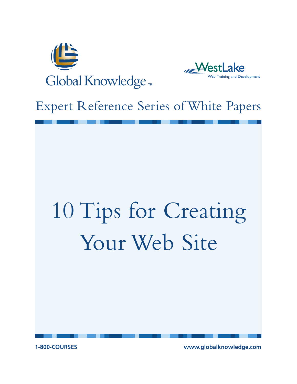



# Expert Reference Series of White Papers

# 10 Tips for Creating Your Web Site

**1-800-COURSES www.globalknowledge.com**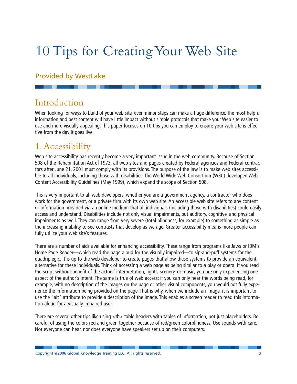# 10 Tips for Creating Your Web Site

### Provided by WestLake

# Introduction

When looking for ways to build of your web site, even minor steps can make a huge difference. The most helpful information and best content will have little impact without simple protocols that make your Web site easier to use and more visually appealing. This paper focuses on 10 tips you can employ to ensure your web site is effective from the day it goes live.

# 1.Accessibility

Web site accessibility has recently become a very important issue in the web community. Because of Section 508 of the Rehabilitation Act of 1973, all web sites and pages created by Federal agencies and Federal contractors after June 21, 2001 must comply with its provisions. The purpose of the law is to make web sites accessible to all individuals, including those with disabilities. The World Wide Web Consortium (W3C) developed Web Content Accessibility Guidelines (May 1999), which expand the scope of Section 508.

This is very important to all web developers, whether you are a government agency, a contractor who does work for the government, or a private firm with its own web site. An accessible web site refers to any content or information provided via an online medium that all individuals (including those with disabilities) could easily access and understand. Disabilities include not only visual impairments, but auditory, cognitive, and physical impairments as well. They can range from very severe (total blindness, for example) to something as simple as the increasing inability to see contrasts that develop as we age. Greater accessibility means more people can fully utilize your web site's features.

There are a number of aids available for enhancing accessibility. These range from programs like Jaws or IBM's Home Page Reader—which read the page aloud for the visually impaired—to sip-and-puff systems for the quadriplegic. It is up to the web developer to create pages that allow these systems to provide an equivalent alternative for these individuals. Think of accessing a web page as being similar to a play or opera. If you read the script without benefit of the actors' interpretation, lights, scenery, or music, you are only experiencing one aspect of the author's intent. The same is true of web access: if you can only hear the words being read, for example, with no description of the images on the page or other visual components, you would not fully experience the information being provided on the page. That is why, when we include an image, it is important to use the "alt" attribute to provide a description of the image. This enables a screen reader to read this information aloud for a visually impaired user.

There are several other tips like using  $<$ th $>$  table headers with tables of information, not just placeholders. Be careful of using the colors red and green together because of red/green colorblindness. Use sounds with care. Not everyone can hear, nor does everyone have speakers set up on their computers.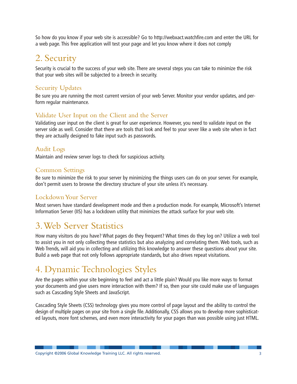So how do you know if your web site is accessible? Go to http://webxact.watchfire.com and enter the URL for a web page. This free application will test your page and let you know where it does not comply

# 2. Security

Security is crucial to the success of your web site. There are several steps you can take to minimize the risk that your web sites will be subjected to a breech in security.

### Security Updates

Be sure you are running the most current version of your web Server. Monitor your vendor updates, and perform regular maintenance.

### Validate User Input on the Client and the Server

Validating user input on the client is great for user experience. However, you need to validate input on the server side as well. Consider that there are tools that look and feel to your sever like a web site when in fact they are actually designed to fake input such as passwords.

### Audit Logs

Maintain and review server logs to check for suspicious activity.

### Common Settings

Be sure to minimize the risk to your server by minimizing the things users can do on your server. For example, don't permit users to browse the directory structure of your site unless it's necessary.

### Lockdown Your Server

Most servers have standard development mode and then a production mode. For example, Microsoft's Internet Information Server (IIS) has a lockdown utility that minimizes the attack surface for your web site.

# 3.Web Server Statistics

How many visitors do you have? What pages do they frequent? What times do they log on? Utilize a web tool to assist you in not only collecting these statistics but also analyzing and correlating them. Web tools, such as Web Trends, will aid you in collecting and utilizing this knowledge to answer these questions about your site. Build a web page that not only follows appropriate standards, but also drives repeat visitations.

# 4. Dynamic Technologies Styles

Are the pages within your site beginning to feel and act a little plain? Would you like more ways to format your documents and give users more interaction with them? If so, then your site could make use of languages such as Cascading Style Sheets and JavaScript.

Cascading Style Sheets (CSS) technology gives you more control of page layout and the ability to control the design of multiple pages on your site from a single file. Additionally, CSS allows you to develop more sophisticated layouts, more font schemes, and even more interactivity for your pages than was possible using just HTML.

. . . .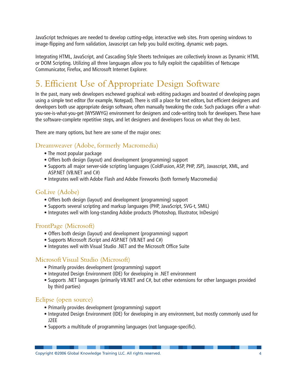JavaScript techniques are needed to develop cutting-edge, interactive web sites. From opening windows to image-flipping and form validation, Javascript can help you build exciting, dynamic web pages.

Integrating HTML, JavaScript, and Cascading Style Sheets techniques are collectively known as Dynamic HTML or DOM Scripting. Utilizing all three languages allow you to fully exploit the capabilities of Netscape Communicator, Firefox, and Microsoft Internet Explorer.

# 5. Efficient Use of Appropriate Design Software

In the past, many web developers eschewed graphical web editing packages and boasted of developing pages using a simple text editor (for example, Notepad). There is still a place for text editors, but efficient designers and developers both use appropriate design software, often manually tweaking the code. Such packages offer a whatyou-see-is-what-you-get (WYSIWYG) environment for designers and code-writing tools for developers. These have the software-complete repetitive steps, and let designers and developers focus on what they do best.

There are many options, but here are some of the major ones:

### Dreamweaver (Adobe, formerly Macromedia)

- The most popular package
- Offers both design (layout) and development (programming) support
- Supports all major server-side scripting languages (ColdFusion, ASP, PHP, JSP), Javascript, XML, and ASP.NET (VB.NET and C#)
- Integrates well with Adobe Flash and Adobe Fireworks (both formerly Macromedia)

### GoLive (Adobe)

- Offers both design (layout) and development (programming) support
- Supports several scripting and markup languages (PHP, JavaScript, SVG-t, SMIL)
- Integrates well with long-standing Adobe products (Photoshop, Illustrator, InDesign)

### FrontPage (Microsoft)

- Offers both design (layout) and development (programming) support
- Supports Microsoft JScript and ASP.NET (VB.NET and C#)
- Integrates well with Visual Studio .NET and the Microsoft Office Suite

### Microsoft Visual Studio (Microsoft)

- Primarily provides development (programming) support
- Integrated Design Environment (IDE) for developing in .NET environment
- Supports .NET languages (primarily VB.NET and C#, but other extensions for other languages provided by third parties)

### Eclipse (open source)

- Primarily provides development (programming) support
- Integrated Design Environment (IDE) for developing in any environment, but mostly commonly used for J2EE
- Supports a multitude of programming languages (not language-specific).

. . . .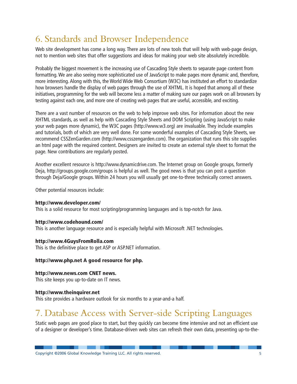# 6. Standards and Browser Independence

Web site development has come a long way. There are lots of new tools that will help with web-page design, not to mention web sites that offer suggestions and ideas for making your web site absolutely incredible.

Probably the biggest movement is the increasing use of Cascading Style sheets to separate page content from formatting. We are also seeing more sophisticated use of JavaScript to make pages more dynamic and, therefore, more interesting. Along with this, the World Wide Web Consortium (W3C) has instituted an effort to standardize how browsers handle the display of web pages through the use of XHTML. It is hoped that among all of these initiatives, programming for the web will become less a matter of making sure our pages work on all browsers by testing against each one, and more one of creating web pages that are useful, accessible, and exciting.

There are a vast number of resources on the web to help improve web sites. For information about the new XHTML standards, as well as help with Cascading Style Sheets and DOM Scripting (using JavaScript to make your web pages more dynamic), the W3C pages (http://www.w3.org) are invaluable. They include examples and tutorials, both of which are very well done. For some wonderful examples of Cascading Style Sheets, we recommend CSSZenGarden.com (http://www.csszengarden.com). The organization that runs this site supplies an html page with the required content. Designers are invited to create an external style sheet to format the page. New contributions are regularly posted.

Another excellent resource is http://www.dynamicdrive.com. The Internet group on Google groups, formerly Deja, http://groups.google.com/groups is helpful as well. The good news is that you can post a question through Deja/Google groups. Within 24 hours you will usually get one-to-three technically correct answers.

Other potential resources include:

### **http://www.developer.com/**

This is a solid resource for most scripting/programming languages and is top-notch for Java.

### **http://www.codehound.com/**

This is another language resource and is especially helpful with Microsoft .NET technologies.

### **http://www.4GuysFromRolla.com**

This is the definitive place to get ASP or ASP.NET information.

### **http://www.php.net A good resource for php.**

### **http://www.news.com CNET news.**

This site keeps you up-to-date on IT news.

### **http://www.theinquirer.net**

This site provides a hardware outlook for six months to a year-and-a half.

# 7. Database Access with Server-side Scripting Languages

Static web pages are good place to start, but they quickly can become time intensive and not an efficient use of a designer or developer's time. Database-driven web sites can refresh their own data, presenting up-to-the-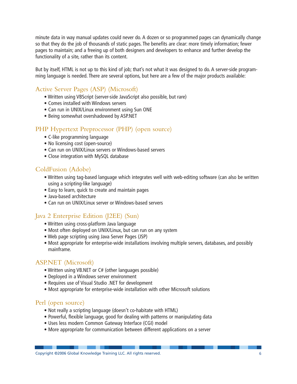minute data in way manual updates could never do. A dozen or so programmed pages can dynamically change so that they do the job of thousands of static pages. The benefits are clear: more timely information; fewer pages to maintain; and a freeing up of both designers and developers to enhance and further develop the functionality of a site, rather than its content.

But by itself, HTML is not up to this kind of job; that's not what it was designed to do. A server-side programming language is needed. There are several options, but here are a few of the major products available:

### Active Server Pages (ASP) (Microsoft)

- Written using VBScript (server-side JavaScript also possible, but rare)
- Comes installed with Windows servers
- Can run in UNIX/Linux environment using Sun ONE
- Being somewhat overshadowed by ASP.NET

### PHP Hypertext Preprocessor (PHP) (open source)

- C-like programming language
- No licensing cost (open-source)
- Can run on UNIX/Linux servers or Windows-based servers
- Close integration with MySQL database

### ColdFusion (Adobe)

- Written using tag-based language which integrates well with web-editing software (can also be written using a scripting-like language)
- Easy to learn, quick to create and maintain pages
- Java-based architecture
- Can run on UNIX/Linux server or Windows-based servers

### Java 2 Enterprise Edition (J2EE) (Sun)

- Written using cross-platform Java language
- Most often deployed on UNIX/Linux, but can run on any system
- Web page scripting using Java Server Pages (JSP)
- Most appropriate for enterprise-wide installations involving multiple servers, databases, and possibly mainframe.

### ASP.NET (Microsoft)

- Written using VB.NET or C# (other languages possible)
- Deployed in a Windows server environment
- Requires use of Visual Studio .NET for development
- Most appropriate for enterprise-wide installation with other Microsoft solutions

### Perl (open source)

- Not really a scripting language (doesn't co-habitate with HTML)
- Powerful, flexible language, good for dealing with patterns or manipulating data
- Uses less modern Common Gateway Interface (CGI) model
- More appropriate for communication between different applications on a server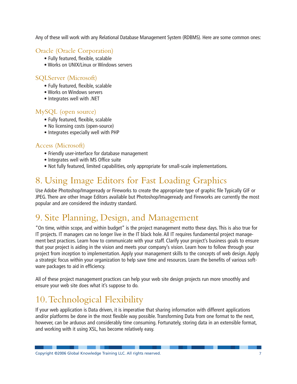Any of these will work with any Relational Database Management System (RDBMS). Here are some common ones:

### Oracle (Oracle Corporation)

- Fully featured, flexible, scalable
- Works on UNIX/Linux or Windows servers

### SQLServer (Microsoft)

- Fully featured, flexible, scalable
- Works on Windows servers
- Integrates well with .NET

### MySQL (open source)

- Fully featured, flexible, scalable
- No licensing costs (open-source)
- Integrates especially well with PHP

### Access (Microsoft)

- Friendly user-interface for database management
- Integrates well with MS Office suite
- Not fully featured, limited capabilities, only appropriate for small-scale implementations.

# 8. Using Image Editors for Fast Loading Graphics

Use Adobe Photoshop/Imageready or Fireworks to create the appropriate type of graphic file Typically GIF or JPEG. There are other Image Editors available but Photoshop/Imageready and Fireworks are currently the most popular and are considered the industry standard.

# 9. Site Planning, Design, and Management

"On time, within scope, and within budget" is the project management motto these days. This is also true for IT projects. IT managers can no longer live in the IT black hole. All IT requires fundamental project management best practices. Learn how to communicate with your staff. Clarify your project's business goals to ensure that your project is aiding in the vision and meets your company's vision. Learn how to follow through your project from inception to implementation. Apply your management skills to the concepts of web design. Apply a strategic focus within your organization to help save time and resources. Learn the benefits of various software packages to aid in efficiency.

All of these project management practices can help your web site design projects run more smoothly and ensure your web site does what it's suppose to do.

# 10.Technological Flexibility

If your web application is Data driven, it is imperative that sharing information with different applications and/or platforms be done in the most flexible way possible. Transforming Data from one format to the next, however, can be arduous and considerably time consuming. Fortunately, storing data in an extensible format, and working with it using XSL, has become relatively easy.